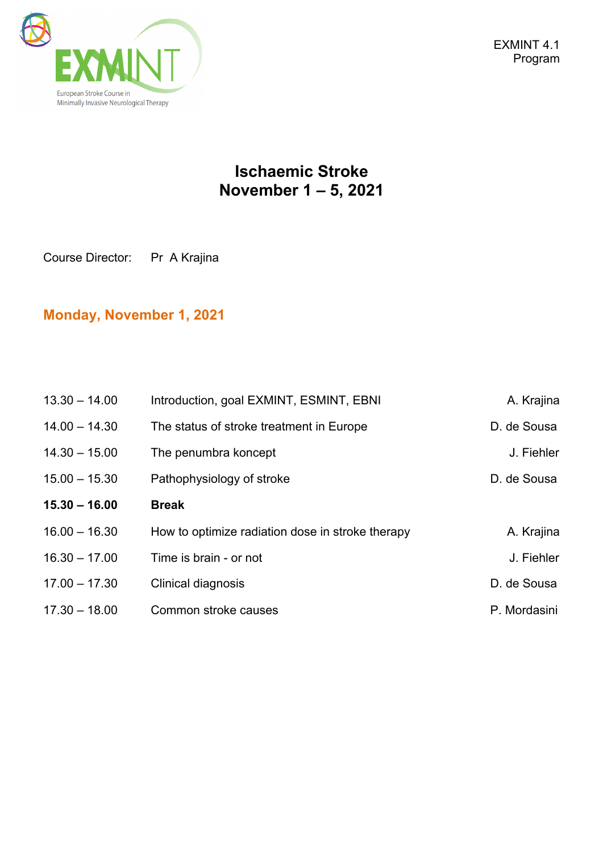

### **Ischaemic Stroke November 1 – 5, 2021**

Course Director: Pr A Krajina

#### **Monday, November 1, 2021**

| $13.30 - 14.00$ | Introduction, goal EXMINT, ESMINT, EBNI          | A. Krajina   |
|-----------------|--------------------------------------------------|--------------|
| $14.00 - 14.30$ | The status of stroke treatment in Europe         | D. de Sousa  |
| $14.30 - 15.00$ | The penumbra koncept                             | J. Fiehler   |
| $15.00 - 15.30$ | Pathophysiology of stroke                        | D. de Sousa  |
| $15.30 - 16.00$ | <b>Break</b>                                     |              |
| $16.00 - 16.30$ | How to optimize radiation dose in stroke therapy | A. Krajina   |
| $16.30 - 17.00$ | Time is brain - or not                           | J. Fiehler   |
| $17.00 - 17.30$ | Clinical diagnosis                               | D. de Sousa  |
| $17.30 - 18.00$ | Common stroke causes                             | P. Mordasini |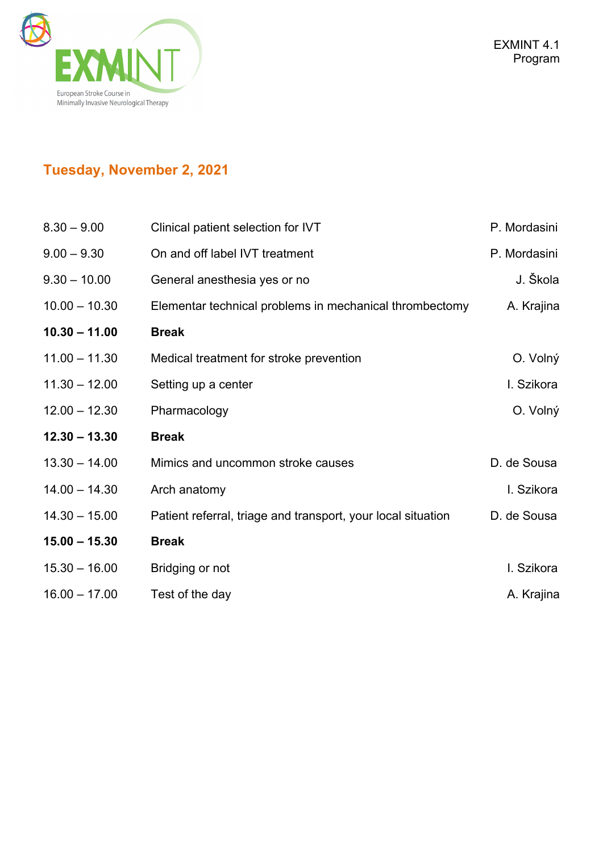

## **Tuesday, November 2, 2021**

| $8.30 - 9.00$   | Clinical patient selection for IVT                           | P. Mordasini |
|-----------------|--------------------------------------------------------------|--------------|
| $9.00 - 9.30$   | On and off label IVT treatment                               | P. Mordasini |
| $9.30 - 10.00$  | General anesthesia yes or no                                 | J. Škola     |
| $10.00 - 10.30$ | Elementar technical problems in mechanical thrombectomy      | A. Krajina   |
| $10.30 - 11.00$ | <b>Break</b>                                                 |              |
| $11.00 - 11.30$ | Medical treatment for stroke prevention                      | O. Volný     |
| $11.30 - 12.00$ | Setting up a center                                          | I. Szikora   |
| $12.00 - 12.30$ | Pharmacology                                                 | O. Volný     |
| $12.30 - 13.30$ | <b>Break</b>                                                 |              |
| $13.30 - 14.00$ | Mimics and uncommon stroke causes                            | D. de Sousa  |
| $14.00 - 14.30$ | Arch anatomy                                                 | I. Szikora   |
| $14.30 - 15.00$ | Patient referral, triage and transport, your local situation | D. de Sousa  |
| $15.00 - 15.30$ | <b>Break</b>                                                 |              |
| $15.30 - 16.00$ | Bridging or not                                              | I. Szikora   |
| $16.00 - 17.00$ | Test of the day                                              | A. Krajina   |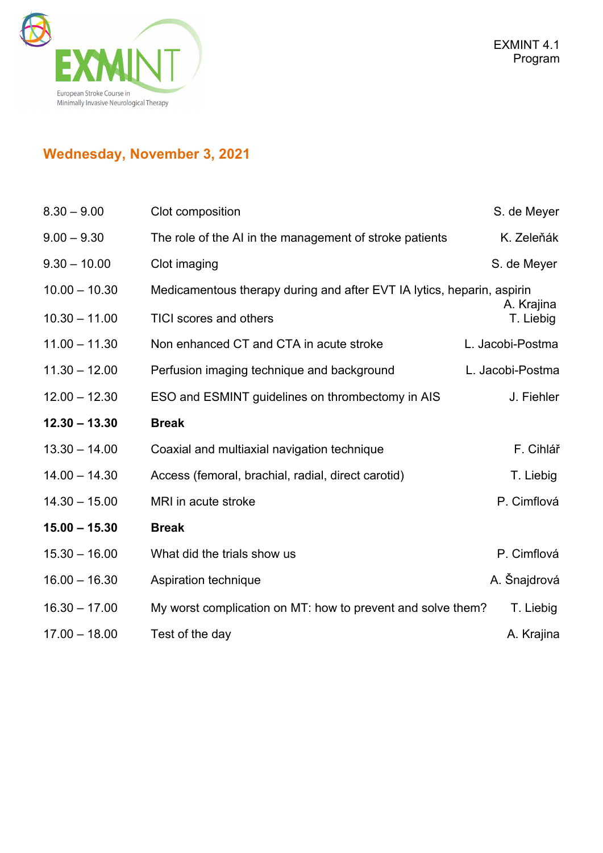

# **Wednesday, November 3, 2021**

| $8.30 - 9.00$   | Clot composition                                                       | S. de Meyer             |
|-----------------|------------------------------------------------------------------------|-------------------------|
| $9.00 - 9.30$   | The role of the AI in the management of stroke patients                | K. Zeleňák              |
| $9.30 - 10.00$  | Clot imaging                                                           | S. de Meyer             |
| $10.00 - 10.30$ | Medicamentous therapy during and after EVT IA lytics, heparin, aspirin |                         |
| $10.30 - 11.00$ | <b>TICI scores and others</b>                                          | A. Krajina<br>T. Liebig |
| $11.00 - 11.30$ | Non enhanced CT and CTA in acute stroke                                | L. Jacobi-Postma        |
| $11.30 - 12.00$ | Perfusion imaging technique and background                             | L. Jacobi-Postma        |
| $12.00 - 12.30$ | ESO and ESMINT guidelines on thrombectomy in AIS                       | J. Fiehler              |
| $12.30 - 13.30$ | <b>Break</b>                                                           |                         |
| $13.30 - 14.00$ | Coaxial and multiaxial navigation technique                            | F. Cihlář               |
| $14.00 - 14.30$ | Access (femoral, brachial, radial, direct carotid)                     | T. Liebig               |
| $14.30 - 15.00$ | MRI in acute stroke                                                    | P. Cimflová             |
| $15.00 - 15.30$ | <b>Break</b>                                                           |                         |
| $15.30 - 16.00$ | What did the trials show us                                            | P. Cimflová             |
| $16.00 - 16.30$ | Aspiration technique                                                   | A. Šnajdrová            |
| $16.30 - 17.00$ | My worst complication on MT: how to prevent and solve them?            | T. Liebig               |
| $17.00 - 18.00$ | Test of the day                                                        | A. Krajina              |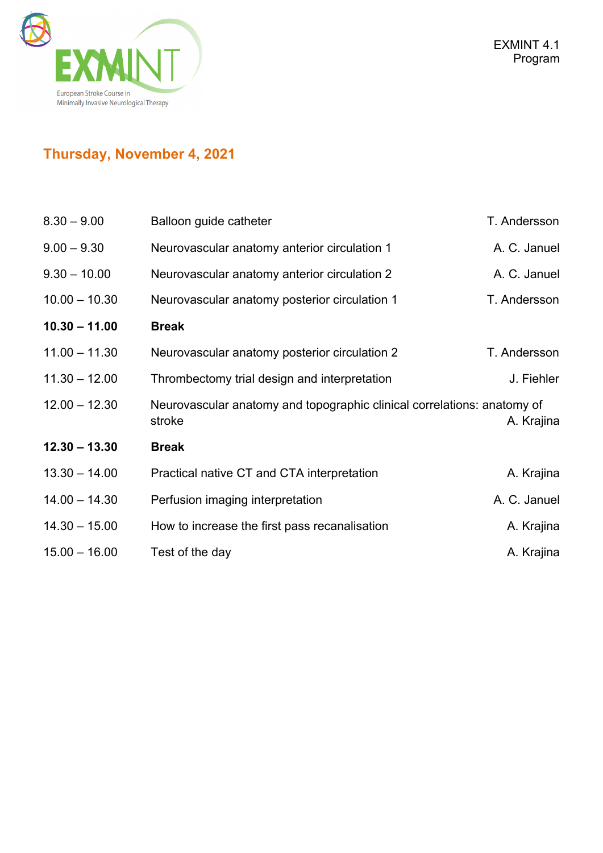

# **Thursday, November 4, 2021**

| $8.30 - 9.00$   | Balloon guide catheter                                                            | T. Andersson |
|-----------------|-----------------------------------------------------------------------------------|--------------|
| $9.00 - 9.30$   | Neurovascular anatomy anterior circulation 1                                      | A. C. Januel |
| $9.30 - 10.00$  | Neurovascular anatomy anterior circulation 2                                      | A. C. Januel |
| $10.00 - 10.30$ | Neurovascular anatomy posterior circulation 1                                     | T. Andersson |
| $10.30 - 11.00$ | <b>Break</b>                                                                      |              |
| $11.00 - 11.30$ | Neurovascular anatomy posterior circulation 2                                     | T. Andersson |
| $11.30 - 12.00$ | Thrombectomy trial design and interpretation                                      | J. Fiehler   |
| $12.00 - 12.30$ | Neurovascular anatomy and topographic clinical correlations: anatomy of<br>stroke | A. Krajina   |
| $12.30 - 13.30$ | <b>Break</b>                                                                      |              |
| $13.30 - 14.00$ | Practical native CT and CTA interpretation                                        | A. Krajina   |
| $14.00 - 14.30$ | Perfusion imaging interpretation                                                  | A. C. Januel |
| $14.30 - 15.00$ | How to increase the first pass recanalisation                                     | A. Krajina   |
| $15.00 - 16.00$ | Test of the day                                                                   | A. Krajina   |